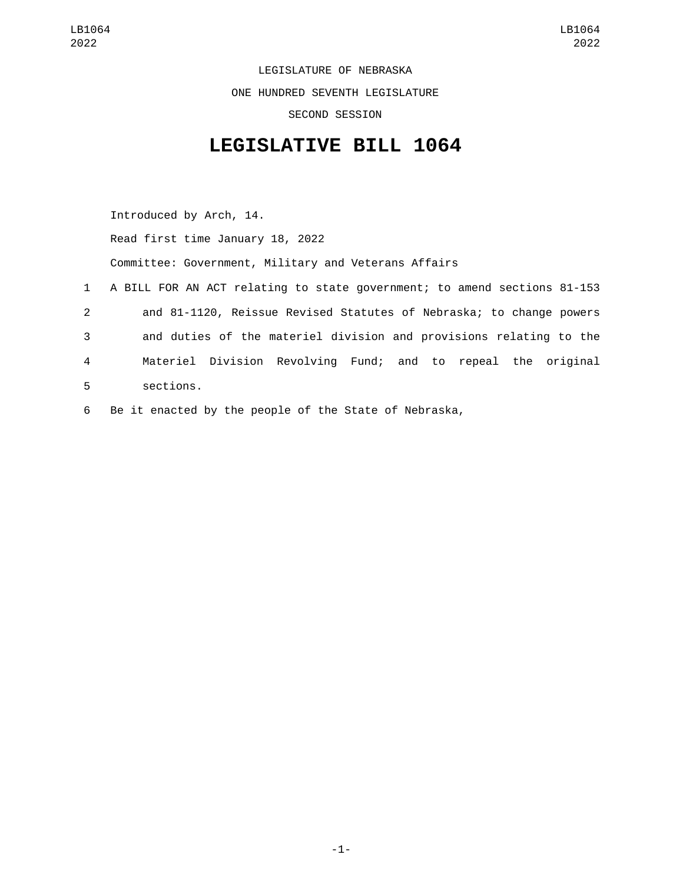LEGISLATURE OF NEBRASKA ONE HUNDRED SEVENTH LEGISLATURE SECOND SESSION

## **LEGISLATIVE BILL 1064**

Introduced by Arch, 14. Read first time January 18, 2022 Committee: Government, Military and Veterans Affairs 1 A BILL FOR AN ACT relating to state government; to amend sections 81-153 2 and 81-1120, Reissue Revised Statutes of Nebraska; to change powers 3 and duties of the materiel division and provisions relating to the 4 Materiel Division Revolving Fund; and to repeal the original sections.5

6 Be it enacted by the people of the State of Nebraska,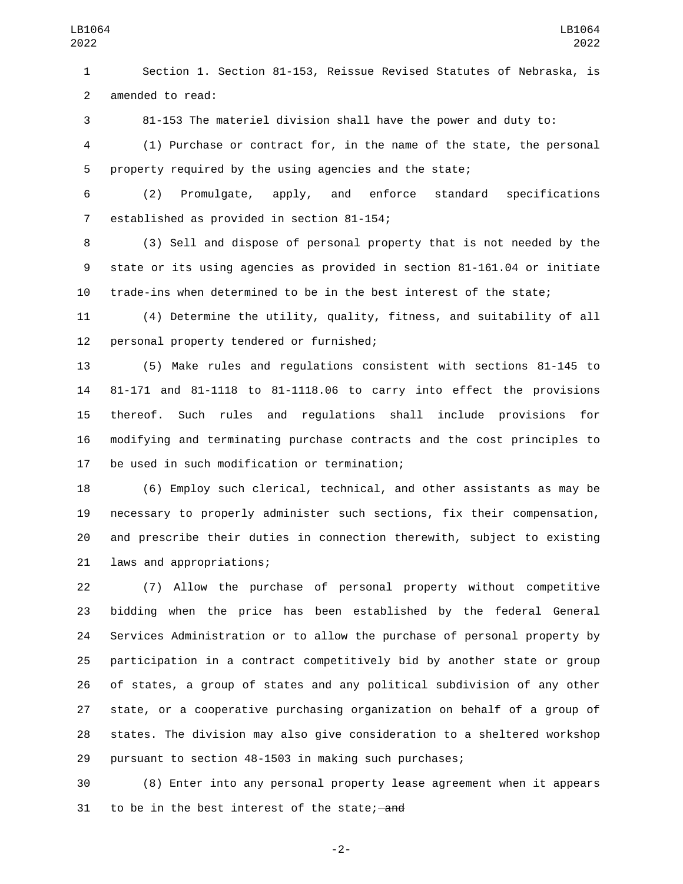Section 1. Section 81-153, Reissue Revised Statutes of Nebraska, is 2 amended to read:

81-153 The materiel division shall have the power and duty to:

 (1) Purchase or contract for, in the name of the state, the personal property required by the using agencies and the state;

 (2) Promulgate, apply, and enforce standard specifications 7 established as provided in section 81-154;

 (3) Sell and dispose of personal property that is not needed by the state or its using agencies as provided in section 81-161.04 or initiate trade-ins when determined to be in the best interest of the state;

 (4) Determine the utility, quality, fitness, and suitability of all 12 personal property tendered or furnished;

 (5) Make rules and regulations consistent with sections 81-145 to 81-171 and 81-1118 to 81-1118.06 to carry into effect the provisions thereof. Such rules and regulations shall include provisions for modifying and terminating purchase contracts and the cost principles to 17 be used in such modification or termination;

 (6) Employ such clerical, technical, and other assistants as may be necessary to properly administer such sections, fix their compensation, and prescribe their duties in connection therewith, subject to existing 21 laws and appropriations;

 (7) Allow the purchase of personal property without competitive bidding when the price has been established by the federal General Services Administration or to allow the purchase of personal property by participation in a contract competitively bid by another state or group of states, a group of states and any political subdivision of any other state, or a cooperative purchasing organization on behalf of a group of states. The division may also give consideration to a sheltered workshop pursuant to section 48-1503 in making such purchases;

 (8) Enter into any personal property lease agreement when it appears 31 to be in the best interest of the state; and

-2-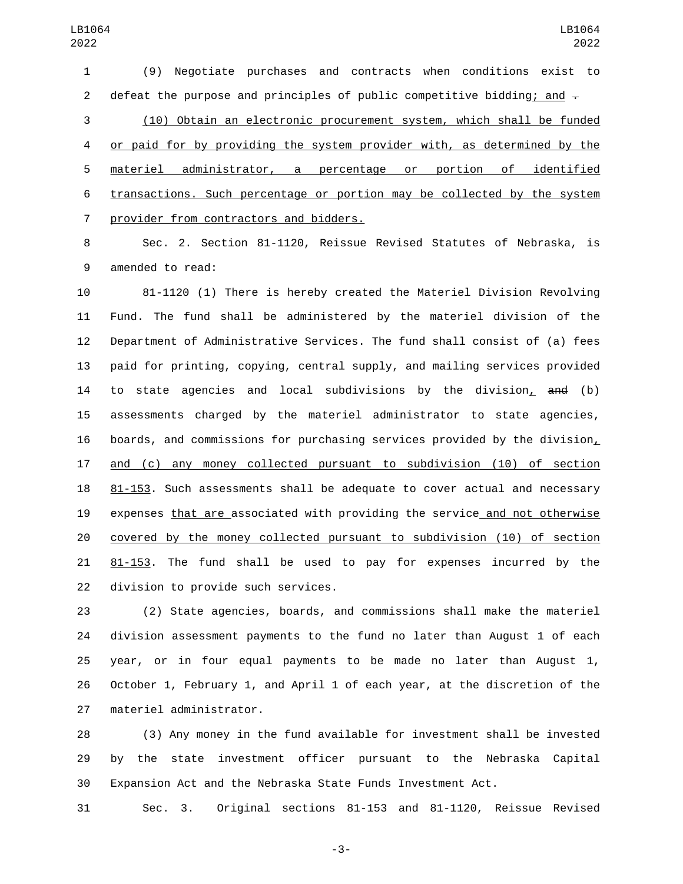(9) Negotiate purchases and contracts when conditions exist to 2 defeat the purpose and principles of public competitive bidding; and  $\pm$ (10) Obtain an electronic procurement system, which shall be funded

 or paid for by providing the system provider with, as determined by the materiel administrator, a percentage or portion of identified transactions. Such percentage or portion may be collected by the system 7 provider from contractors and bidders.

 Sec. 2. Section 81-1120, Reissue Revised Statutes of Nebraska, is 9 amended to read:

 81-1120 (1) There is hereby created the Materiel Division Revolving Fund. The fund shall be administered by the materiel division of the Department of Administrative Services. The fund shall consist of (a) fees paid for printing, copying, central supply, and mailing services provided to state agencies and local subdivisions by the division, and (b) assessments charged by the materiel administrator to state agencies, boards, and commissions for purchasing services provided by the division, and (c) any money collected pursuant to subdivision (10) of section 81-153. Such assessments shall be adequate to cover actual and necessary expenses that are associated with providing the service and not otherwise covered by the money collected pursuant to subdivision (10) of section 81-153. The fund shall be used to pay for expenses incurred by the 22 division to provide such services.

 (2) State agencies, boards, and commissions shall make the materiel division assessment payments to the fund no later than August 1 of each year, or in four equal payments to be made no later than August 1, October 1, February 1, and April 1 of each year, at the discretion of the 27 materiel administrator.

 (3) Any money in the fund available for investment shall be invested by the state investment officer pursuant to the Nebraska Capital Expansion Act and the Nebraska State Funds Investment Act.

Sec. 3. Original sections 81-153 and 81-1120, Reissue Revised

-3-